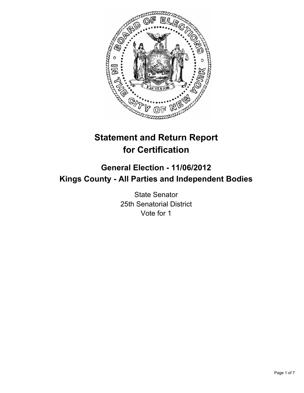

# **Statement and Return Report for Certification**

# **General Election - 11/06/2012 Kings County - All Parties and Independent Bodies**

State Senator 25th Senatorial District Vote for 1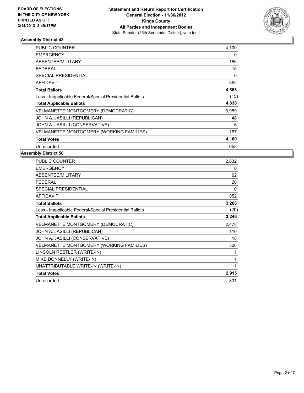

| PUBLIC COUNTER                                           | 4,100 |
|----------------------------------------------------------|-------|
| <b>EMERGENCY</b>                                         | 0     |
| ABSENTEE/MILITARY                                        | 186   |
| FEDERAL                                                  | 15    |
| SPECIAL PRESIDENTIAL                                     | 0     |
| AFFIDAVIT                                                | 552   |
| <b>Total Ballots</b>                                     | 4,853 |
| Less - Inapplicable Federal/Special Presidential Ballots | (15)  |
| <b>Total Applicable Ballots</b>                          | 4,838 |
| <b>VELMANETTE MONTGOMERY (DEMOCRATIC)</b>                | 3,959 |
| JOHN A. JASILLI (REPUBLICAN)                             | 48    |
| JOHN A. JASILLI (CONSERVATIVE)                           | 6     |
| <b>VELMANETTE MONTGOMERY (WORKING FAMILIES)</b>          | 167   |
| <b>Total Votes</b>                                       | 4,180 |
| Unrecorded                                               | 658   |

| PUBLIC COUNTER                                           | 2,832 |
|----------------------------------------------------------|-------|
| <b>EMERGENCY</b>                                         | 0     |
| <b>ABSENTEE/MILITARY</b>                                 | 62    |
| <b>FEDERAL</b>                                           | 20    |
| <b>SPECIAL PRESIDENTIAL</b>                              | 0     |
| <b>AFFIDAVIT</b>                                         | 352   |
| <b>Total Ballots</b>                                     | 3,266 |
| Less - Inapplicable Federal/Special Presidential Ballots | (20)  |
| <b>Total Applicable Ballots</b>                          | 3,246 |
| VELMANETTE MONTGOMERY (DEMOCRATIC)                       | 2,478 |
| JOHN A. JASILLI (REPUBLICAN)                             | 110   |
| JOHN A. JASILLI (CONSERVATIVE)                           | 18    |
| VELMANETTE MONTGOMERY (WORKING FAMILIES)                 | 306   |
| LINCOLN RESTLER (WRITE-IN)                               | 1     |
| MIKE DONNELLY (WRITE-IN)                                 | 1     |
| UNATTRIBUTABLE WRITE-IN (WRITE-IN)                       | 1     |
| <b>Total Votes</b>                                       | 2,915 |
| Unrecorded                                               | 331   |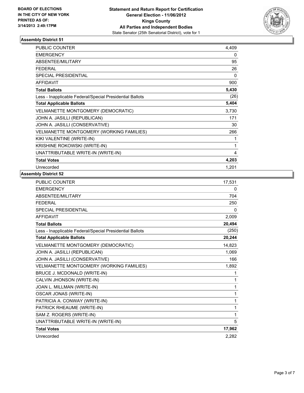

| <b>PUBLIC COUNTER</b>                                    | 4.409 |
|----------------------------------------------------------|-------|
| <b>EMERGENCY</b>                                         | 0     |
| <b>ABSENTEE/MILITARY</b>                                 | 95    |
| <b>FEDERAL</b>                                           | 26    |
| SPECIAL PRESIDENTIAL                                     | 0     |
| <b>AFFIDAVIT</b>                                         | 900   |
| <b>Total Ballots</b>                                     | 5,430 |
| Less - Inapplicable Federal/Special Presidential Ballots | (26)  |
| <b>Total Applicable Ballots</b>                          | 5,404 |
| VELMANETTE MONTGOMERY (DEMOCRATIC)                       | 3,730 |
| JOHN A. JASILLI (REPUBLICAN)                             | 171   |
| JOHN A. JASILLI (CONSERVATIVE)                           | 30    |
| VELMANETTE MONTGOMERY (WORKING FAMILIES)                 | 266   |
| KIKI VALENTINE (WRITE-IN)                                |       |
| KRISHINE ROKOWSKI (WRITE-IN)                             | 1     |
| UNATTRIBUTABLE WRITE-IN (WRITE-IN)                       | 4     |
| <b>Total Votes</b>                                       | 4,203 |
| Unrecorded                                               | 1,201 |

| 17,531 |
|--------|
| 0      |
| 704    |
| 250    |
| 0      |
| 2,009  |
| 20,494 |
| (250)  |
| 20,244 |
| 14,823 |
| 1,069  |
| 166    |
| 1,892  |
| 1      |
| 1      |
| 1      |
| 1      |
| 1      |
| 1      |
| 1      |
| 5      |
| 17,962 |
| 2,282  |
|        |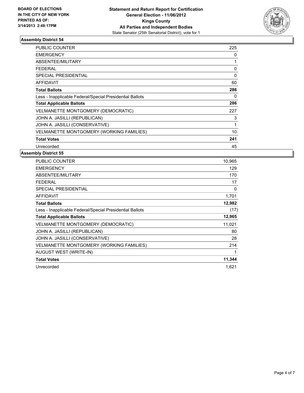

| <b>PUBLIC COUNTER</b>                                    | 225         |
|----------------------------------------------------------|-------------|
| <b>EMERGENCY</b>                                         | 0           |
| ABSENTEE/MILITARY                                        |             |
| <b>FEDERAL</b>                                           | 0           |
| SPECIAL PRESIDENTIAL                                     | $\mathbf 0$ |
| AFFIDAVIT                                                | 60          |
| <b>Total Ballots</b>                                     | 286         |
| Less - Inapplicable Federal/Special Presidential Ballots | 0           |
| <b>Total Applicable Ballots</b>                          | 286         |
| VELMANETTE MONTGOMERY (DEMOCRATIC)                       | 227         |
| JOHN A. JASILLI (REPUBLICAN)                             | 3           |
| JOHN A. JASILLI (CONSERVATIVE)                           | 1           |
| VELMANETTE MONTGOMERY (WORKING FAMILIES)                 | 10          |
| <b>Total Votes</b>                                       | 241         |
| Unrecorded                                               | 45          |

| PUBLIC COUNTER                                           | 10,965 |
|----------------------------------------------------------|--------|
| <b>EMERGENCY</b>                                         | 129    |
| <b>ABSENTEE/MILITARY</b>                                 | 170    |
| FEDERAL                                                  | 17     |
| <b>SPECIAL PRESIDENTIAL</b>                              | 0      |
| <b>AFFIDAVIT</b>                                         | 1,701  |
| <b>Total Ballots</b>                                     | 12,982 |
| Less - Inapplicable Federal/Special Presidential Ballots | (17)   |
| <b>Total Applicable Ballots</b>                          | 12,965 |
| VELMANETTE MONTGOMERY (DEMOCRATIC)                       | 11,021 |
| JOHN A. JASILLI (REPUBLICAN)                             | 80     |
| JOHN A. JASILLI (CONSERVATIVE)                           | 28     |
| VELMANETTE MONTGOMERY (WORKING FAMILIES)                 | 214    |
| <b>AUGUST WEST (WRITE-IN)</b>                            |        |
| <b>Total Votes</b>                                       | 11,344 |
| Unrecorded                                               | 1.621  |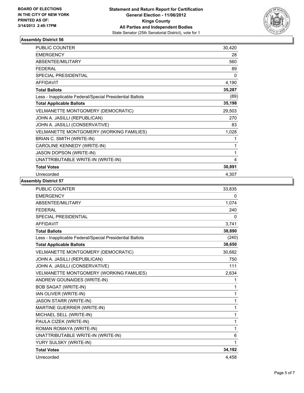

| PUBLIC COUNTER                                           | 30,420 |
|----------------------------------------------------------|--------|
| <b>EMERGENCY</b>                                         | 28     |
| <b>ABSENTEE/MILITARY</b>                                 | 560    |
| <b>FEDERAL</b>                                           | 89     |
| <b>SPECIAL PRESIDENTIAL</b>                              | 0      |
| <b>AFFIDAVIT</b>                                         | 4,190  |
| <b>Total Ballots</b>                                     | 35,287 |
| Less - Inapplicable Federal/Special Presidential Ballots | (89)   |
| <b>Total Applicable Ballots</b>                          | 35,198 |
| VELMANETTE MONTGOMERY (DEMOCRATIC)                       | 29,503 |
| JOHN A. JASILLI (REPUBLICAN)                             | 270    |
| JOHN A. JASILLI (CONSERVATIVE)                           | 83     |
| VELMANETTE MONTGOMERY (WORKING FAMILIES)                 | 1,028  |
| BRIAN C. SMITH (WRITE-IN)                                | 1      |
| CAROLINE KENNEDY (WRITE-IN)                              | 1      |
| JASON DOPSON (WRITE-IN)                                  | 1      |
| UNATTRIBUTABLE WRITE-IN (WRITE-IN)                       | 4      |
| <b>Total Votes</b>                                       | 30,891 |
| Unrecorded                                               | 4,307  |

| PUBLIC COUNTER                                           | 33,835 |
|----------------------------------------------------------|--------|
| <b>EMERGENCY</b>                                         | 0      |
| ABSENTEE/MILITARY                                        | 1,074  |
| <b>FEDERAL</b>                                           | 240    |
| <b>SPECIAL PRESIDENTIAL</b>                              | 0      |
| <b>AFFIDAVIT</b>                                         | 3,741  |
| <b>Total Ballots</b>                                     | 38,890 |
| Less - Inapplicable Federal/Special Presidential Ballots | (240)  |
| <b>Total Applicable Ballots</b>                          | 38,650 |
| VELMANETTE MONTGOMERY (DEMOCRATIC)                       | 30,682 |
| JOHN A. JASILLI (REPUBLICAN)                             | 750    |
| JOHN A. JASILLI (CONSERVATIVE)                           | 111    |
| VELMANETTE MONTGOMERY (WORKING FAMILIES)                 | 2,634  |
| ANDREW GOUNAIDES (WRITE-IN)                              | 1      |
| <b>BOB SAGAT (WRITE-IN)</b>                              | 1      |
| IAN OLIVER (WRITE-IN)                                    | 1      |
| <b>JASON STARR (WRITE-IN)</b>                            | 1      |
| MARTINE GUERRIER (WRITE-IN)                              | 1      |
| MICHAEL SELL (WRITE-IN)                                  | 1      |
| PAULA CIZEK (WRITE-IN)                                   | 1      |
| ROMAN ROMAYA (WRITE-IN)                                  | 1      |
| UNATTRIBUTABLE WRITE-IN (WRITE-IN)                       | 6      |
| YURY SULSKY (WRITE-IN)                                   | 1      |
| <b>Total Votes</b>                                       | 34,192 |
| Unrecorded                                               | 4,458  |
|                                                          |        |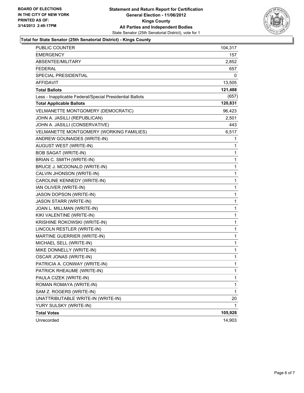

#### **Total for State Senator (25th Senatorial District) - Kings County**

| <b>PUBLIC COUNTER</b>                                    | 104,317      |
|----------------------------------------------------------|--------------|
| <b>EMERGENCY</b>                                         | 157          |
| ABSENTEE/MILITARY                                        | 2,852        |
| <b>FEDERAL</b>                                           | 657          |
| SPECIAL PRESIDENTIAL                                     | 0            |
| <b>AFFIDAVIT</b>                                         | 13,505       |
| <b>Total Ballots</b>                                     | 121,488      |
| Less - Inapplicable Federal/Special Presidential Ballots | (657)        |
| <b>Total Applicable Ballots</b>                          | 120,831      |
| VELMANETTE MONTGOMERY (DEMOCRATIC)                       | 96,423       |
| JOHN A. JASILLI (REPUBLICAN)                             | 2,501        |
| JOHN A. JASILLI (CONSERVATIVE)                           | 443          |
| VELMANETTE MONTGOMERY (WORKING FAMILIES)                 | 6,517        |
| ANDREW GOUNAIDES (WRITE-IN)                              | 1            |
| AUGUST WEST (WRITE-IN)                                   | 1            |
| <b>BOB SAGAT (WRITE-IN)</b>                              | 1            |
| BRIAN C. SMITH (WRITE-IN)                                | 1            |
| BRUCE J. MCDONALD (WRITE-IN)                             | 1            |
| CALVIN JHONSON (WRITE-IN)                                | $\mathbf{1}$ |
| CAROLINE KENNEDY (WRITE-IN)                              | 1            |
| IAN OLIVER (WRITE-IN)                                    | 1            |
| JASON DOPSON (WRITE-IN)                                  | 1            |
| JASON STARR (WRITE-IN)                                   | 1            |
| JOAN L. MILLMAN (WRITE-IN)                               | 1            |
| KIKI VALENTINE (WRITE-IN)                                | $\mathbf{1}$ |
| KRISHINE ROKOWSKI (WRITE-IN)                             | 1            |
| LINCOLN RESTLER (WRITE-IN)                               | 1            |
| MARTINE GUERRIER (WRITE-IN)                              | 1            |
| MICHAEL SELL (WRITE-IN)                                  | 1            |
| MIKE DONNELLY (WRITE-IN)                                 | 1            |
| <b>OSCAR JONAS (WRITE-IN)</b>                            | 1            |
| PATRICIA A. CONWAY (WRITE-IN)                            | 1            |
| PATRICK RHEAUME (WRITE-IN)                               | 1            |
| PAULA CIZEK (WRITE-IN)                                   | 1            |
| ROMAN ROMAYA (WRITE-IN)                                  | 1            |
| SAM Z. ROGERS (WRITE-IN)                                 | 1            |
| UNATTRIBUTABLE WRITE-IN (WRITE-IN)                       | 20           |
| YURY SULSKY (WRITE-IN)                                   | 1            |
| <b>Total Votes</b>                                       | 105,928      |
| Unrecorded                                               | 14,903       |